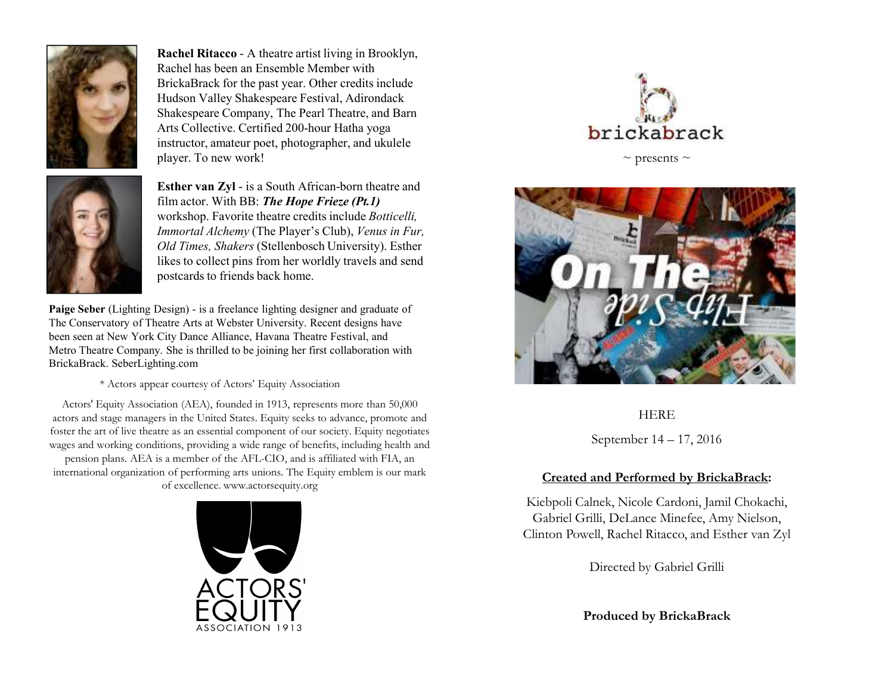

**Rachel Ritacco** - A theatre artist living in Brooklyn, Rachel has been an Ensemble Member with BrickaBrack for the past year. Other credits include Hudson Valley Shakespeare Festival, Adirondack Shakespeare Company, The Pearl Theatre, and Barn Arts Collective. Certified 200-hour Hatha yoga instructor, amateur poet, photographer, and ukulele player. To new work!



**Esther van Zyl -** is a South African-born theatre and <br>film eater With DD: *The Hane Frieze* (Pt.1) film actor. With BB: *The Hope Frieze (Pt.1)* workshop. Favorite theatre credits include *Botticelli, Immortal Alchemy* (The Player's Club), *Venus in Fur, Old Times, Shakers* (Stellenbosch University). Esther likes to collect pins from her worldly travels and send postcards to friends back home.

**Paige Seber** (Lighting Design) - is a freelance lighting designer and graduate of The Conservatory of Theatre Arts at Webster University. Recent designs have been seen at New York City Dance Alliance, Havana Theatre Festival, and Metro Theatre Company. She is thrilled to be joining her first collaboration with BrickaBrack. SeberLighting.com

\* Actors appear courtesy of Actors' Equity Association

Actors' Equity Association (AEA), founded in 1913, represents more than 50,000 actors and stage managers in the United States. Equity seeks to advance, promote and foster the art of live theatre as an essential component of our society. Equity negotiates wages and working conditions, providing a wide range of benefits, including health and pension plans. AEA is a member of the AFL-CIO, and is affiliated with FIA, an

international organization of performing arts unions. The Equity emblem is our mark of excellence. www.actorsequity.org





 $\sim$  presents  $\sim$ 



HERE

September 14 – 17, 2016

## **Created and Performed by BrickaBrack:**

Kiebpoli Calnek, Nicole Cardoni, Jamil Chokachi, Gabriel Grilli, DeLance Minefee, Amy Nielson, Clinton Powell, Rachel Ritacco, and Esther van Zyl

Directed by Gabriel Grilli

**Produced by BrickaBrack**